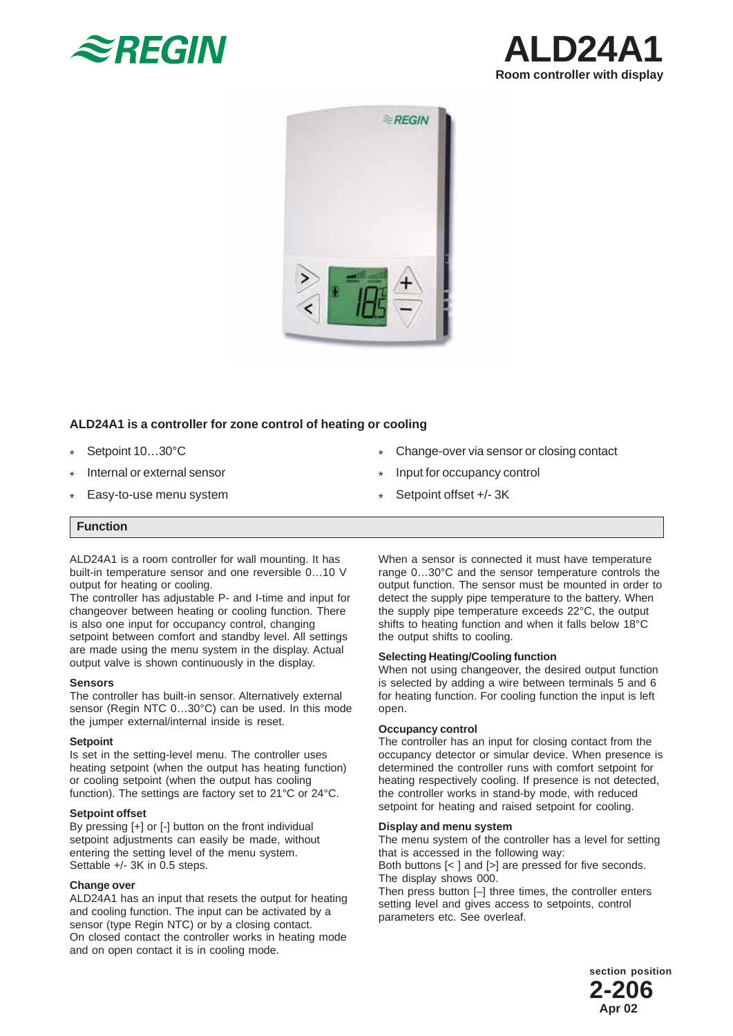





### **ALD24A1 is a controller for zone control of heating or cooling**

- Setpoint 10…30°C \*
- Internal or external sensor \*
- Easy-to-use menu system \*
- Change-over via sensor or closing contact \*
- Input for occupancy control \*
- Setpoint offset +/- 3K \*

# **Function**

ALD24A1 is a room controller for wall mounting. It has built-in temperature sensor and one reversible 0…10 V output for heating or cooling.

The controller has adjustable P- and I-time and input for changeover between heating or cooling function. There is also one input for occupancy control, changing setpoint between comfort and standby level. All settings are made using the menu system in the display. Actual output valve is shown continuously in the display.

#### **Sensors**

The controller has built-in sensor. Alternatively external sensor (Regin NTC 0...30°C) can be used. In this mode the jumper external/internal inside is reset.

#### **Setpoint**

Is set in the setting-level menu. The controller uses heating setpoint (when the output has heating function) or cooling setpoint (when the output has cooling function). The settings are factory set to 21°C or 24°C.

#### **Setpoint offset**

By pressing [+] or [-] button on the front individual setpoint adjustments can easily be made, without entering the setting level of the menu system. Settable +/- 3K in 0.5 steps.

#### **Change over**

ALD24A1 has an input that resets the output for heating and cooling function. The input can be activated by a sensor (type Regin NTC) or by a closing contact. On closed contact the controller works in heating mode and on open contact it is in cooling mode.

When a sensor is connected it must have temperature range 0…30°C and the sensor temperature controls the output function. The sensor must be mounted in order to detect the supply pipe temperature to the battery. When the supply pipe temperature exceeds 22°C, the output shifts to heating function and when it falls below 18°C the output shifts to cooling.

#### **Selecting Heating/Cooling function**

When not using changeover, the desired output function is selected by adding a wire between terminals 5 and 6 for heating function. For cooling function the input is left open.

#### **Occupancy control**

The controller has an input for closing contact from the occupancy detector or simular device. When presence is determined the controller runs with comfort setpoint for heating respectively cooling. If presence is not detected, the controller works in stand-by mode, with reduced setpoint for heating and raised setpoint for cooling.

### **Display and menu system**

The menu system of the controller has a level for setting that is accessed in the following way: Both buttons [< ] and [>] are pressed for five seconds. The display shows 000. Then press button [–] three times, the controller enters

setting level and gives access to setpoints, control parameters etc. See overleaf.